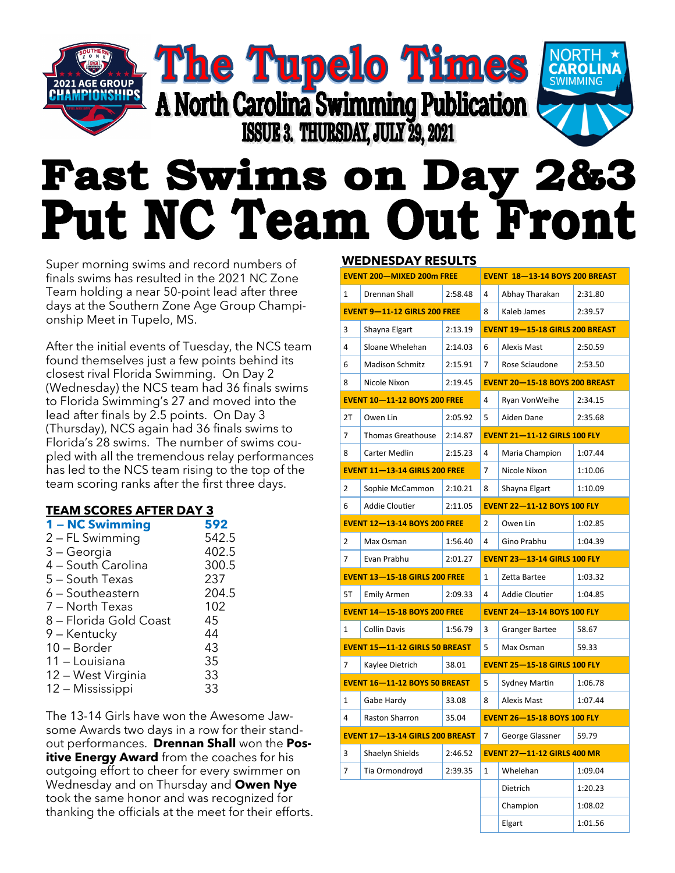

# **Fast Swims on Day 2&3** ut Front **Put NC Team**

Super morning swims and record numbers of finals swims has resulted in the 2021 NC Zone Team holding a near 50-point lead after three days at the Southern Zone Age Group Championship Meet in Tupelo, MS.

After the initial events of Tuesday, the NCS team found themselves just a few points behind its closest rival Florida Swimming. On Day 2 (Wednesday) the NCS team had 36 finals swims to Florida Swimming's 27 and moved into the lead after finals by 2.5 points. On Day 3 (Thursday), NCS again had 36 finals swims to Florida's 28 swims. The number of swims coupled with all the tremendous relay performances has led to the NCS team rising to the top of the team scoring ranks after the first three days.

## **TEAM SCORES AFTER DAY 3**

| 1 - NC Swimming        | 592   |
|------------------------|-------|
| 2 - FL Swimming        | 542.5 |
| 3 - Georgia            | 402.5 |
| 4 – South Carolina     | 300.5 |
| 5 - South Texas        | 237   |
| 6 - Southeastern       | 204.5 |
| 7 - North Texas        | 102   |
| 8 - Florida Gold Coast | 45    |
| 9 – Kentucky           | 44    |
| 10 - Border            | 43    |
| 11 - Louisiana         | 35    |
| 12 - West Virginia     | 33    |
| 12 – Mississippi       | 33    |
|                        |       |

The 13-14 Girls have won the Awesome Jawsome Awards two days in a row for their standout performances. **Drennan Shall** won the **Positive Energy Award** from the coaches for his outgoing effort to cheer for every swimmer on Wednesday and on Thursday and **Owen Nye**  took the same honor and was recognized for thanking the officials at the meet for their efforts.

## **WEDNESDAY PESULTS**

| <u>LUNLJUAI INLJULIJ</u><br><b>EVENT 200-MIXED 200m FREE</b> |                                       |                                    | <b>EVENT 18-13-14 BOYS 200 BREAST</b> |                                        |         |  |
|--------------------------------------------------------------|---------------------------------------|------------------------------------|---------------------------------------|----------------------------------------|---------|--|
| $\mathbf{1}$                                                 | Drennan Shall                         | 2:58.48                            | 4                                     | Abhay Tharakan                         | 2:31.80 |  |
|                                                              | <b>EVENT 9-11-12 GIRLS 200 FREE</b>   |                                    | 8                                     | Kaleb James                            | 2:39.57 |  |
| 3                                                            | Shayna Elgart                         | 2:13.19                            |                                       | <b>EVENT 19-15-18 GIRLS 200 BREAST</b> |         |  |
| 4                                                            | Sloane Whelehan                       | 2:14.03                            | 6                                     | <b>Alexis Mast</b>                     | 2:50.59 |  |
| 6                                                            | <b>Madison Schmitz</b>                | 2:15.91                            | 7                                     | Rose Sciaudone                         | 2:53.50 |  |
| 8                                                            | Nicole Nixon                          | 2:19.45                            |                                       | <b>EVENT 20-15-18 BOYS 200 BREAST</b>  |         |  |
|                                                              | <b>EVENT 10-11-12 BOYS 200 FREE</b>   |                                    | $\overline{4}$                        | Ryan VonWeihe                          | 2:34.15 |  |
| 2T                                                           | Owen Lin                              | 2:05.92                            | 5                                     | Aiden Dane                             | 2:35.68 |  |
| $\overline{\phantom{a}}$                                     | <b>Thomas Greathouse</b>              | 2:14.87                            |                                       | <b>EVENT 21-11-12 GIRLS 100 FLY</b>    |         |  |
| 8                                                            | Carter Medlin                         | 2:15.23                            | $\overline{\mathbf{4}}$               | Maria Champion                         | 1:07.44 |  |
|                                                              | <b>EVENT 11-13-14 GIRLS 200 FREE</b>  |                                    | $\overline{7}$                        | Nicole Nixon                           | 1:10.06 |  |
| $\overline{2}$                                               | Sophie McCammon                       | 2:10.21                            | 8                                     | Shayna Elgart                          | 1:10.09 |  |
| 6                                                            | <b>Addie Cloutier</b>                 | 2:11.05                            | <b>EVENT 22-11-12 BOYS 100 FLY</b>    |                                        |         |  |
| <b>EVENT 12-13-14 BOYS 200 FREE</b>                          |                                       | $\overline{2}$                     | Owen Lin                              | 1:02.85                                |         |  |
| 2                                                            | Max Osman                             | 1:56.40                            | 4                                     | Gino Prabhu                            | 1:04.39 |  |
| $\overline{7}$                                               | Evan Prabhu                           | 2:01.27                            |                                       | <b>EVENT 23-13-14 GIRLS 100 FLY</b>    |         |  |
| <b>EVENT 13-15-18 GIRLS 200 FREE</b>                         |                                       | $\mathbf{1}$                       | Zetta Bartee                          | 1:03.32                                |         |  |
| 5T                                                           | <b>Emily Armen</b>                    | 2:09.33                            | 4                                     | Addie Cloutier                         | 1:04.85 |  |
| <b>EVENT 14-15-18 BOYS 200 FREE</b>                          |                                       | <b>EVENT 24-13-14 BOYS 100 FLY</b> |                                       |                                        |         |  |
| $\mathbf{1}$                                                 | <b>Collin Davis</b>                   | 1:56.79                            | 3                                     | <b>Granger Bartee</b>                  | 58.67   |  |
|                                                              | <b>EVENT 15-11-12 GIRLS 50 BREAST</b> |                                    | 5                                     | Max Osman                              | 59.33   |  |
| 7                                                            | Kaylee Dietrich                       | 38.01                              |                                       | <b>EVENT 25-15-18 GIRLS 100 FLY</b>    |         |  |
|                                                              | <b>EVENT 16-11-12 BOYS 50 BREAST</b>  |                                    | 5                                     | <b>Sydney Martin</b>                   | 1:06.78 |  |
| $\mathbf 1$                                                  | Gabe Hardy                            | 33.08                              | 8                                     | <b>Alexis Mast</b>                     | 1:07.44 |  |
| 4                                                            | Raston Sharron                        | 35.04                              |                                       | <b>EVENT 26-15-18 BOYS 100 FLY</b>     |         |  |
| <b>EVENT 17-13-14 GIRLS 200 BREAST</b>                       |                                       | $\overline{7}$                     | George Glassner                       | 59.79                                  |         |  |
| 3                                                            | Shaelyn Shields                       | 2:46.52                            |                                       | <b>EVENT 27-11-12 GIRLS 400 MR</b>     |         |  |
| 7                                                            | Tia Ormondroyd                        | 2:39.35                            | $\mathbf{1}$                          | Whelehan                               | 1:09.04 |  |
|                                                              |                                       |                                    |                                       | Dietrich                               | 1:20.23 |  |
|                                                              |                                       |                                    |                                       | Champion                               | 1:08.02 |  |
|                                                              |                                       |                                    |                                       |                                        |         |  |